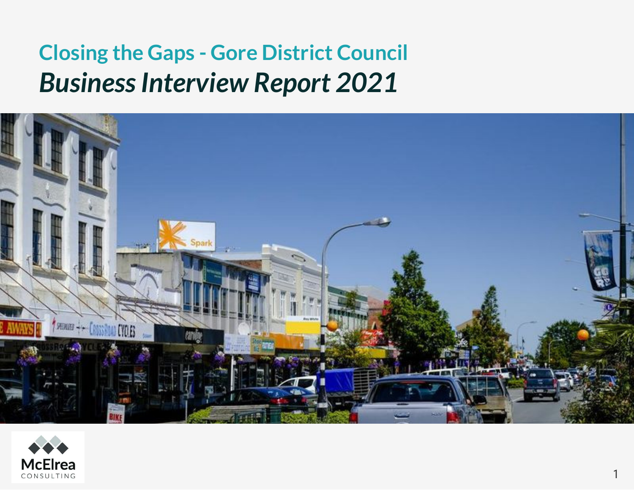# **Closing the Gaps - Gore District Council** *Business Interview Report 2021*



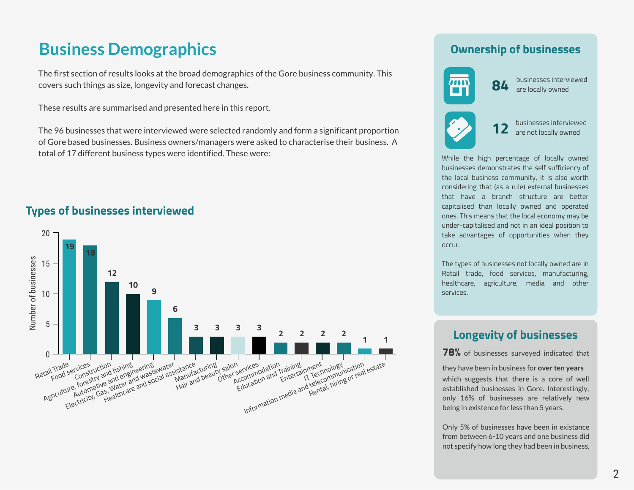# **Business Demographics**

The first section of results looks at the broad demographics of the Gore business community. This covers such things as size, longevity and forecast changes.

These results are summarised and presented here in this report.

The 96 businesses that were interviewed were selected randomly and form a significant proportion of Gore based businesses. Business owners/managers were asked to characterise their business. A total of 17 different business types were identified. These were:

## **Types of businesses interviewed**



### **Ownership of businesses**



**12** businesses interviewed<br>**12** are not locally owned

While the high percentage of locally owned businesses demonstrates the self sufficiency of the local business community, it is also worth considering that (as a rule) external businesses that have a branch structure are better capitalised than locally owned and operated ones. This means that the local economy may be under-capitalised and not in an ideal position to take advantages of opportunities when they occur.

The types of businesses not locally owned are in Retail trade, food services, manufacturing, healthcare, agriculture, media and other services.

### **Longevity of businesses**

**78%** of businesses surveyed indicated that

they have been in business for **over ten years** which suggests that there is a core of well established businesses in Gore. Interestingly, only 16% of businesses are relatively new being in existence for less than 5 years.

Only 5% of businesses have been in existance from between 6-10 years and one business did not specify how long they had been in business,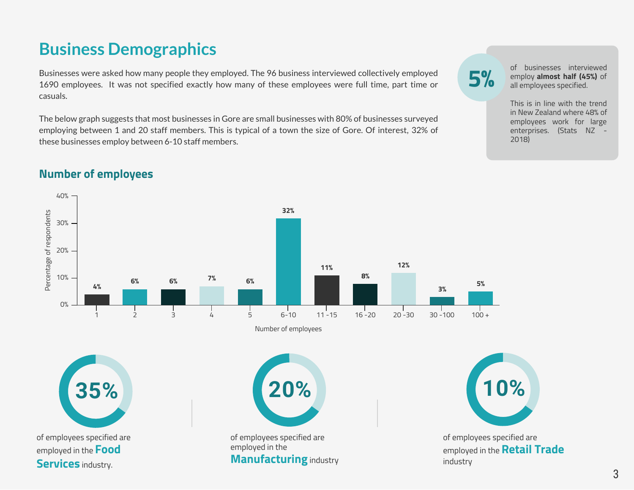# **Business Demographics**

Businesses were asked how many people they employed. The 96 business interviewed collectively employed 1690 employees. It was not specified exactly how many of these employees were full time, part time or casuals.

The below graph suggests that most businesses in Gore are small businesses with 80% of businesses surveyed employing between 1 and 20 staff members. This is typical of a town the size of Gore. Of interest, 32% of these businesses employ between 6-10 staff members.

of businesses interviewed<br> **5%** employ **almost half (45%)** of<br>
all employees specified. employ **almost half (45%)** of all employees specified.

> This is in line with the trend in New Zealand where 48% of employees work for large enterprises. (Stats NZ - 2018)

# **Number of employees**

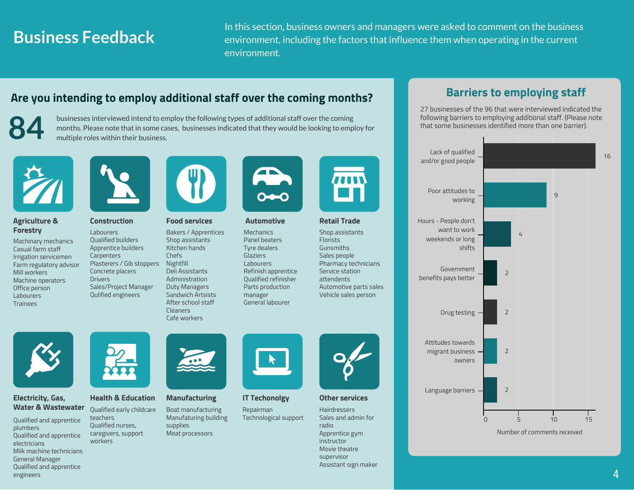# **Business Feedback**

In this section, business owners and managers were asked to comment on the business environment, including the factors that influence them when operating in the current environment.

## **Are you intending to employ additional staff over the coming months?**

Bakers / Apprentices Shop assistants Kitchen hands Chefs

Deli Assistants Administration Duty Managers Sandwich Artsists After school staff Cleaners Cafe workers



businesses interviewed intend to employ the following types of additional staff over the coming<br>months. Please note that in some cases, businesses indicated that they would be looking to employ for<br>multiple roles within th



#### **Agriculture & Forestry**

Machinary mechanics Casual farm staff Irrigation servicemen Farm regulatory advisor Mill workers Machine operators Office person Labourers **Trainees** 



#### **Construction Food services Automotive Retail Trade**

Labourers Qualified builders Apprentice builders **Carpenters** Plasterers / Gib stoppers Concrete placers **Drivers** Sales/Project Manager Qulified engineers Nightfill



Mechanics Panel beaters Tyre dealers **Glaziers** Labourers Refinish apprentice Qualified refinisher Parts production manager General labourer



Shop assistants Florists Gunsmiths Sales people Pharmacy technicians Service station attendents Automotive parts sales Vehicle sales person

#### **Electricity, Gas, Water & Wastewater**

Qualified and apprentice plumbers Qualified and apprentice electricians Milk machine technicians General Manager Qualified and apprentice engineers



teachers

workers

**Health & Education Manufacturing**

#### Qualified early childcare Qualified nurses, caregivers, support Boat manufacturing Manufaturing building supplies Meat processors



**IT Techonolgy**

Repairman Technological support



#### **Other services**

Hairdressers Sales and admin for radio Apprentice gym instructor Movie theatre supervisor Assistant sign maker

# **Barriers to employing staff**

27 businesses of the 96 that were interviewed indicated the following barriers to employing additional staff. (Please note that some businesses identified more than one barrier).

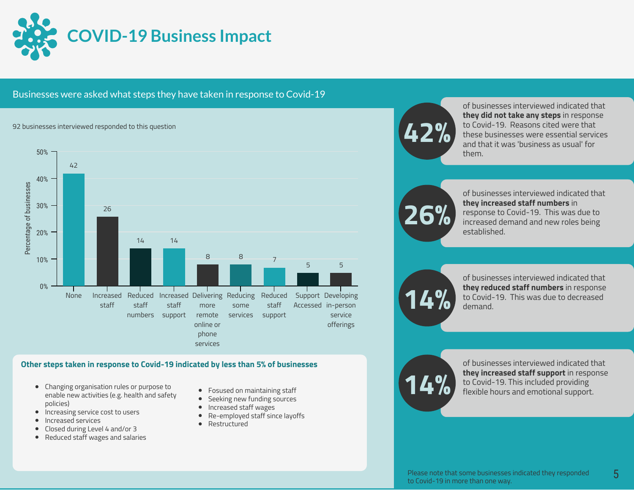

#### Businesses were asked what steps they have taken in response to Covid-19

#### 92 businesses interviewed responded to this question



#### **Other steps taken in response to Covid-19 indicated by less than 5% of businesses**

- Changing organisation rules or purpose to enable new activities (e.g. health and safety policies)
- Increasing service cost to users
- Increased services
- Closed during Level 4 and/or 3
- $\bullet$ Reduced staff wages and salaries
- **•** Fosused on maintaining staff
- $\bullet$ Seeking new funding sources
- Increased staff wages  $\bullet$
- $\bullet$ Re-employed staff since layoffs
- Restructured  $\bullet$



of businesses interviewed indicated that **they did not take any steps** in response to Covid-19. Reasons cited were that these businesses were essential services and that it was 'business as usual' for them.

**26%**

of businesses interviewed indicated that **they increased staff numbers** in response to Covid-19. This was due to increased demand and new roles being established.



of businesses interviewed indicated that **they reduced staff numbers** in response to Covid-19. This was due to decreased **14%** demand.



of businesses interviewed indicated that **they increased staff support** in response to Covid-19. This included providing flexible hours and emotional support.

5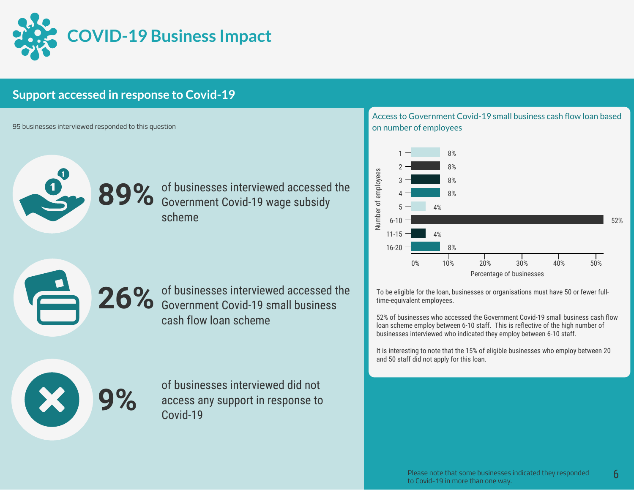

## **Support accessed in response to Covid-19**

95 businesses interviewed responded to this question

89% of businesses interviewed accessed the Government Covid-19 wage subsidy scheme

Access to Government Covid-19 small business cash flow loan based on number of employees



To be eligible for the loan, businesses or organisations must have 50 or fewer fulltime-equivalent employees.

52% of businesses who accessed the Government Covid-19 small business cash flow loan scheme employ between 6-10 staff. This is reflective of the high number of businesses interviewed who indicated they employ between 6-10 staff.

It is interesting to note that the 15% of eligible businesses who employ between 20 and 50 staff did not apply for this loan.

of businesses interviewed did not<br>access any support in response to<br>Covid-19 access any support in response to Covid-19

26% of businesses interviewed accessed the Government Covid-19 small business

cash flow loan scheme

Please note that some businesses indicated they responded to Covid-19 in more than one way.

6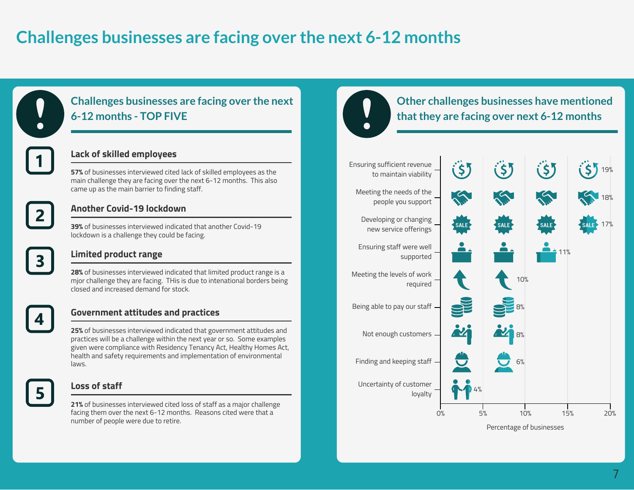# **Challenges businesses are facing over the next 6-12 months**



# **Challenges businesses are facing over the next 6-12 months - TOP FIVE**

### **Lack of skilled employees**

**57%** of businesses interviewed cited lack of skilled employees as the main challenge they are facing over the next 6-12 months. This also came up as the main barrier to finding staff.



#### **Another Covid-19 lockdown**

**39%** of businesses interviewed indicated that another Covid-19 lockdown is a challenge they could be facing.

### **Limited product range**

**28%** of businesses interviewed indicated that limited product range is a mjor challenge they are facing. THis is due to intenational borders being closed and increased demand for stock.



#### **Government attitudes and practices**

**25%** of businesses interviewed indicated that government attitudes and practices will be a challenge within the next year or so. Some examples given were compliance with Residency Tenancy Act, Healthy Homes Act, health and safety requirements and implementation of environmental laws.



#### **Loss of staff**

**21%** of businesses interviewed cited loss of staff as a major challenge facing them over the next 6-12 months. Reasons cited were that a number of people were due to retire.

# **Other challenges businesses have mentioned that they are facing over next 6-12 months**

#### Ensuring sufficient revenue  $(5)$  $(5)$ (\$) 19% to maintain viability Meeting the needs of the R 18% people you support Developing or changing 17% new service offerings Ensuring staff were well 11% supported Meeting the levels of work 10% required Being able to pay our staff 8% Not enough customers 8% Finding and keeping staff 6% Uncertainty of customer  $4%$ loyalty 0% 5% 10% 15% 20%

Percentage of businesses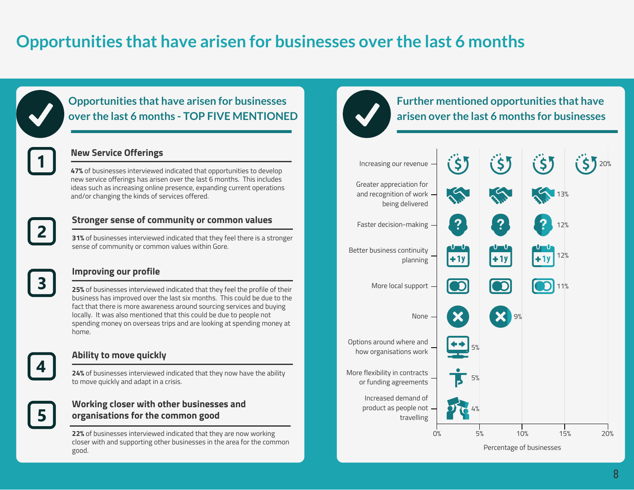# **Opportunities that have arisen for businesses over the last 6 months**



### **Opportunities that have arisen for businesses over the last 6 months - TOP FIVE MENTIONED**

### **New Service Offerings**

**47%** of businesses interviewed indicated that opportunities to develop new service offerings has arisen over the last 6 months. This includes ideas such as increasing online presence, expanding current operations and/or changing the kinds of services offered.



#### **Stronger sense of community or common values**

**31%** of businesses interviewed indicated that they feel there is a stronger sense of community or common values within Gore.



### **Improving our profile**

**25%** of businesses interviewed indicated that they feel the profile of their business has improved over the last six months. This could be due to the fact that there is more awareness around sourcing services and buying locally. It was also mentioned that this could be due to people not spending money on overseas trips and are looking at spending money at home.



#### **Ability to move quickly**

**24%** of businesses interviewed indicated that they now have the ability to move quickly and adapt in a crisis.

### **Working closer with other businesses and organisations for the common good**

**22%** of businesses interviewed indicated that they are now working closer with and supporting other businesses in the area for the common good.

## **Further mentioned opportunities that have arisen over the last 6 months for businesses**



Percentage of businesses

8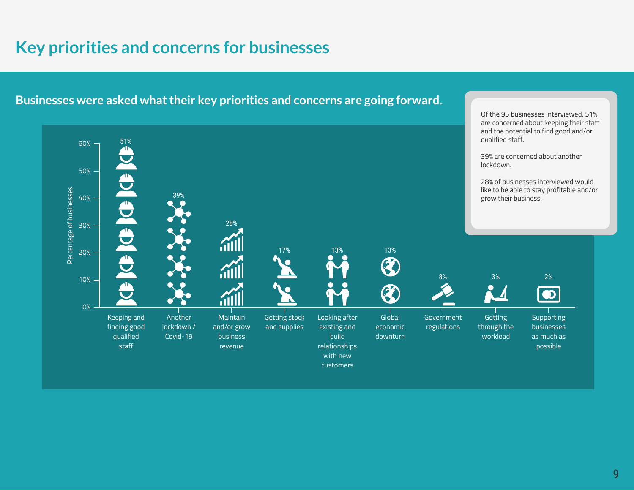# **Key priorities and concerns for businesses**



**Businesses were asked what their key priorities and concerns are going forward.**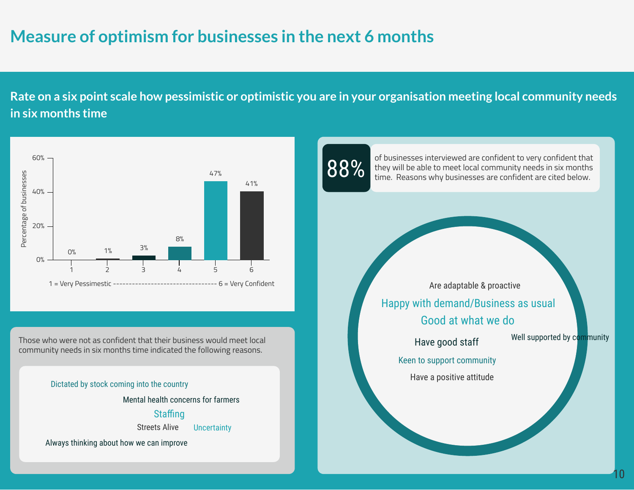# **Measure of optimism for businesses in the next 6 months**

**Rate on a six point scale how pessimistic or optimistic you are in your organisation meeting local community needs in six months time**



Those who were not as confident that their business would meet local community needs in six months time indicated the following reasons.

#### Dictated by stock coming into the country

Mental health concerns for farmers

### Staffing

Streets Alive **Uncertainty** 

Always thinking about how we can improve



they will be able to meet local community needs in six months time. Reasons why businesses are confident are cited below.

Good at what we do Happy with demand/Business as usual Are adaptable & proactive

Have good staff

Well supported by community

10

Keen to support community Have a positive attitude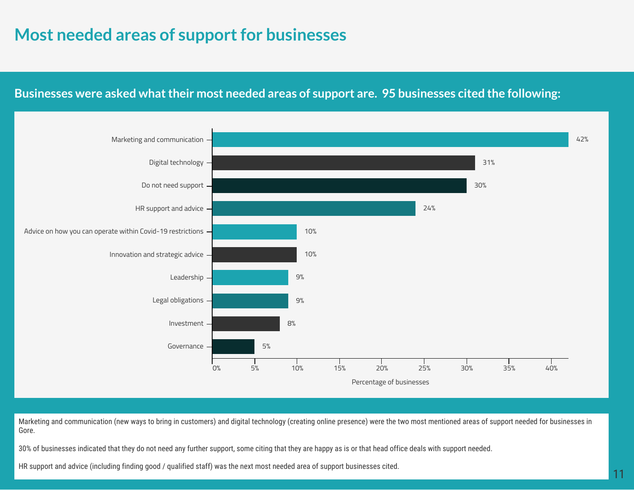# **Most needed areas of support for businesses**

## **Businesses were asked what their most needed areas of support are. 95 businesses cited the following:**



Marketing and communication (new ways to bring in customers) and digital technology (creating online presence) were the two most mentioned areas of support needed for businesses in Gore.

30% of businesses indicated that they do not need any further support, some citing that they are happy as is or that head office deals with support needed.

HR support and advice (including finding good / qualified staff) was the next most needed area of support businesses cited.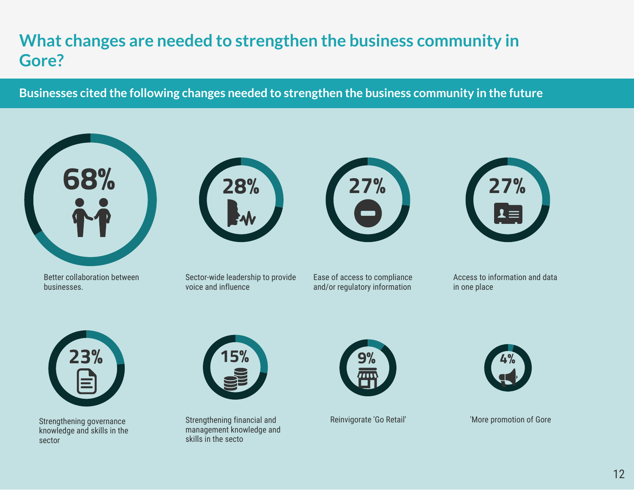# **What changes are needed to strengthen the business community in Gore?**

**Businesses cited the following changes needed to strengthen the business community in the future**



Better collaboration between businesses.



Sector-wide leadership to provide voice and influence



Ease of access to compliance and/or regulatory information



Access to information and data in one place



Strengthening governance knowledge and skills in the sector



Strengthening financial and Reinvigorate 'Go Retail' management knowledge and skills in the secto





'More promotion of Gore